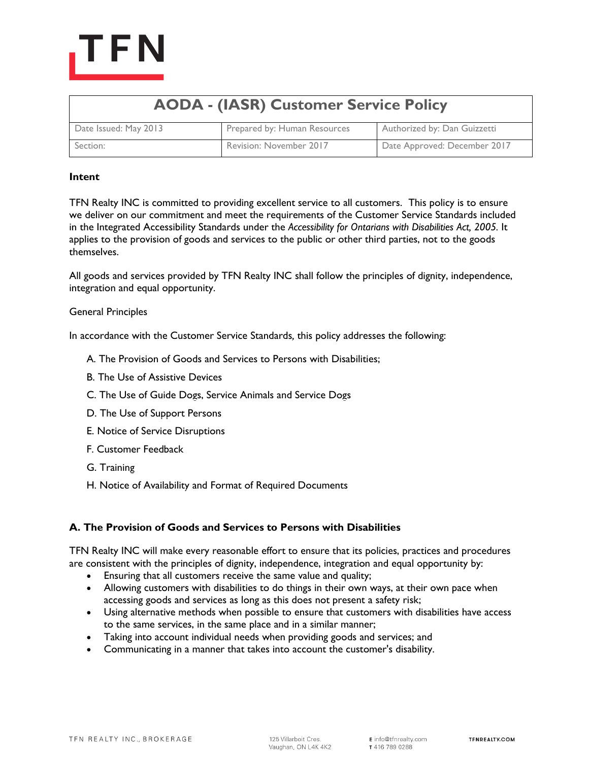

| <b>AODA - (IASR) Customer Service Policy</b> |                              |                              |
|----------------------------------------------|------------------------------|------------------------------|
| Date Issued: May 2013                        | Prepared by: Human Resources | Authorized by: Dan Guizzetti |
| Section:                                     | Revision: November 2017      | Date Approved: December 2017 |

### **Intent**

TFN Realty INC is committed to providing excellent service to all customers. This policy is to ensure we deliver on our commitment and meet the requirements of the Customer Service Standards included in the Integrated Accessibility Standards under the *Accessibility for Ontarians with Disabilities Act, 2005.* It applies to the provision of goods and services to the public or other third parties, not to the goods themselves.

All goods and services provided by TFN Realty INC shall follow the principles of dignity, independence, integration and equal opportunity.

### General Principles

In accordance with the Customer Service Standards*,* this policy addresses the following:

- A. [The Provision of Goods and Services to Persons with Disabilities;](https://www.hrdownloads.com/fundamentals/my-documents#ProvisionofGoodsandServ)
- B. [The Use of Assistive Devices](https://www.hrdownloads.com/fundamentals/my-documents#UseofAssisDev)
- C. [The Use of Guide Dogs, Service Animals and Service Dogs](https://www.hrdownloads.com/fundamentals/my-documents#GuideDogs)
- D. [The Use of Support Persons](https://www.hrdownloads.com/fundamentals/my-documents#SuppPers)
- E. [Notice of Service Disruptions](https://www.hrdownloads.com/fundamentals/my-documents#NonticeofDis)
- F. [Customer Feedback](https://www.hrdownloads.com/fundamentals/my-documents#CustFeed)
- G. [Training](https://www.hrdownloads.com/fundamentals/my-documents#Training)
- H. [Notice of Availability and Format of Required Documents](https://www.hrdownloads.com/fundamentals/my-documents#NoticeofAvail)

## **A. The Provision of Goods and Services to Persons with Disabilities**

TFN Realty INC will make every reasonable effort to ensure that its policies, practices and procedures are consistent with the principles of dignity, independence, integration and equal opportunity by:

- Ensuring that all customers receive the same value and quality;
- Allowing customers with disabilities to do things in their own ways, at their own pace when accessing goods and services as long as this does not present a safety risk;
- Using alternative methods when possible to ensure that customers with disabilities have access to the same services, in the same place and in a similar manner;
- Taking into account individual needs when providing goods and services; and
- Communicating in a manner that takes into account the customer's disability.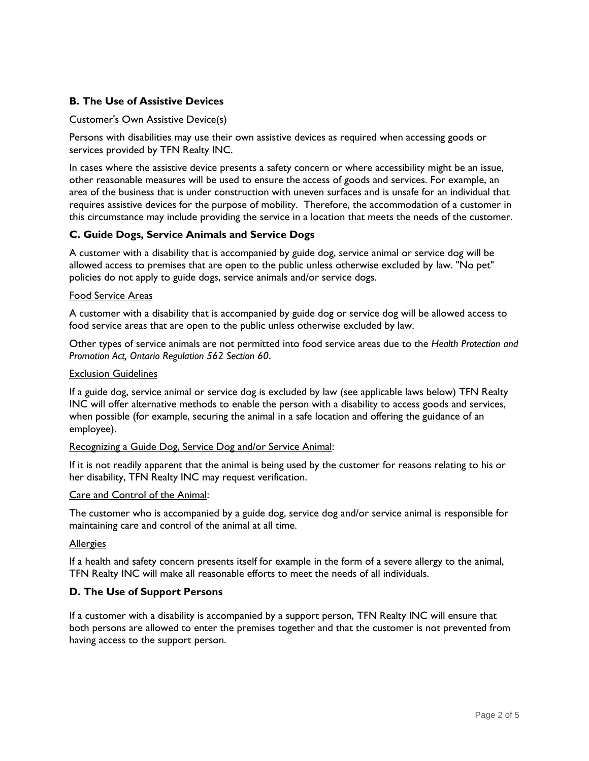# **B. The Use of Assistive Devices**

### Customer's Own Assistive Device(s)

Persons with disabilities may use their own assistive devices as required when accessing goods or services provided by TFN Realty INC.

In cases where the assistive device presents a safety concern or where accessibility might be an issue, other reasonable measures will be used to ensure the access of goods and services. For example, an area of the business that is under construction with uneven surfaces and is unsafe for an individual that requires assistive devices for the purpose of mobility. Therefore, the accommodation of a customer in this circumstance may include providing the service in a location that meets the needs of the customer.

## **C. Guide Dogs, Service Animals and Service Dogs**

A customer with a disability that is accompanied by guide dog, service animal or service dog will be allowed access to premises that are open to the public unless otherwise excluded by law. "No pet" policies do not apply to guide dogs, service animals and/or service dogs.

### Food Service Areas

A customer with a disability that is accompanied by guide dog or service dog will be allowed access to food service areas that are open to the public unless otherwise excluded by law.

Other types of service animals are not permitted into food service areas due to the *Health Protection and Promotion Act, Ontario Regulation 562 Section 60*.

### Exclusion Guidelines

If a guide dog, service animal or service dog is excluded by law (see applicable laws below) TFN Realty INC will offer alternative methods to enable the person with a disability to access goods and services, when possible (for example, securing the animal in a safe location and offering the guidance of an employee).

#### Recognizing a Guide Dog, Service Dog and/or Service Animal:

If it is not readily apparent that the animal is being used by the customer for reasons relating to his or her disability, TFN Realty INC may request verification.

#### Care and Control of the Animal:

The customer who is accompanied by a guide dog, service dog and/or service animal is responsible for maintaining care and control of the animal at all time.

#### Allergies

If a health and safety concern presents itself for example in the form of a severe allergy to the animal, TFN Realty INC will make all reasonable efforts to meet the needs of all individuals.

## **D. The Use of Support Persons**

If a customer with a disability is accompanied by a support person, TFN Realty INC will ensure that both persons are allowed to enter the premises together and that the customer is not prevented from having access to the support person.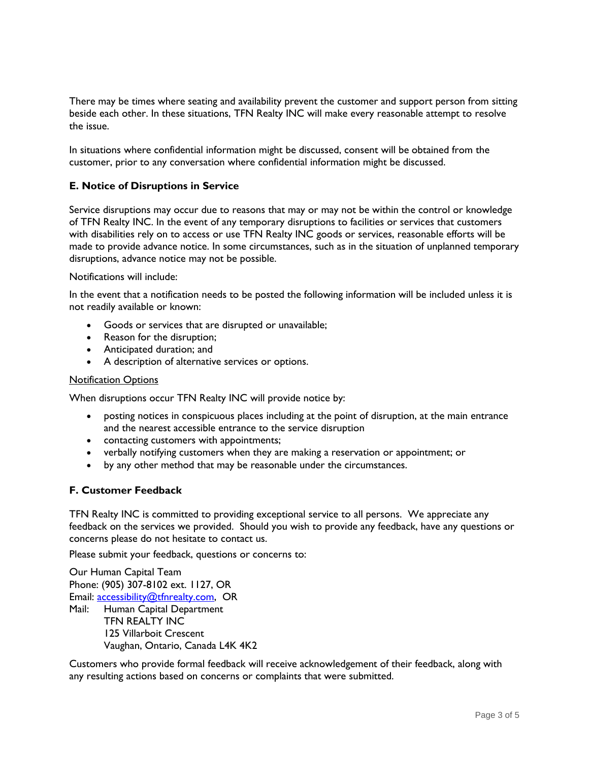There may be times where seating and availability prevent the customer and support person from sitting beside each other. In these situations, TFN Realty INC will make every reasonable attempt to resolve the issue.

In situations where confidential information might be discussed, consent will be obtained from the customer, prior to any conversation where confidential information might be discussed.

## **E. Notice of Disruptions in Service**

Service disruptions may occur due to reasons that may or may not be within the control or knowledge of TFN Realty INC. In the event of any temporary disruptions to facilities or services that customers with disabilities rely on to access or use TFN Realty INC goods or services, reasonable efforts will be made to provide advance notice. In some circumstances, such as in the situation of unplanned temporary disruptions, advance notice may not be possible.

#### Notifications will include:

In the event that a notification needs to be posted the following information will be included unless it is not readily available or known:

- Goods or services that are disrupted or unavailable;
- Reason for the disruption;
- Anticipated duration; and
- A description of alternative services or options.

#### **Notification Options**

When disruptions occur TFN Realty INC will provide notice by:

- posting notices in conspicuous places including at the point of disruption, at the main entrance and the nearest accessible entrance to the service disruption
- contacting customers with appointments;
- verbally notifying customers when they are making a reservation or appointment; or
- by any other method that may be reasonable under the circumstances.

## **F. Customer Feedback**

TFN Realty INC is committed to providing exceptional service to all persons. We appreciate any feedback on the services we provided. Should you wish to provide any feedback, have any questions or concerns please do not hesitate to contact us.

Please submit your feedback, questions or concerns to:

Our Human Capital Team Phone: (905) 307-8102 ext. 1127, OR Email: [accessibility@tfnrealty.com,](mailto:accessibility@tfnrealty.com) OR Mail: Human Capital Department TFN REALTY INC 125 Villarboit Crescent Vaughan, Ontario, Canada L4K 4K2

Customers who provide formal feedback will receive acknowledgement of their feedback, along with any resulting actions based on concerns or complaints that were submitted.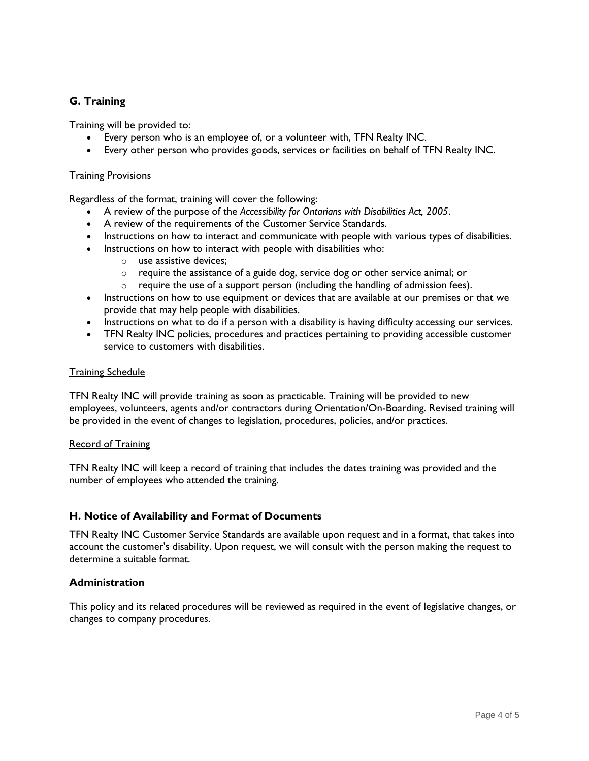# **G. Training**

Training will be provided to:

- Every person who is an employee of, or a volunteer with, TFN Realty INC.
- Every other person who provides goods, services or facilities on behalf of TFN Realty INC.

#### Training Provisions

Regardless of the format, training will cover the following:

- A review of the purpose of the *Accessibility for Ontarians with Disabilities Act, 2005*.
- A review of the requirements of the Customer Service Standards.
- Instructions on how to interact and communicate with people with various types of disabilities.
- Instructions on how to interact with people with disabilities who:
	- o use assistive devices;
	- o require the assistance of a guide dog, service dog or other service animal; or
	- o require the use of a support person (including the handling of admission fees).
- Instructions on how to use equipment or devices that are available at our premises or that we provide that may help people with disabilities.
- Instructions on what to do if a person with a disability is having difficulty accessing our services.
- TFN Realty INC policies, procedures and practices pertaining to providing accessible customer service to customers with disabilities.

### Training Schedule

TFN Realty INC will provide training as soon as practicable. Training will be provided to new employees, volunteers, agents and/or contractors during Orientation/On-Boarding. Revised training will be provided in the event of changes to legislation, procedures, policies, and/or practices.

#### Record of Training

TFN Realty INC will keep a record of training that includes the dates training was provided and the number of employees who attended the training.

## **H. Notice of Availability and Format of Documents**

TFN Realty INC Customer Service Standards are available upon request and in a format, that takes into account the customer's disability. Upon request, we will consult with the person making the request to determine a suitable format.

## **Administration**

This policy and its related procedures will be reviewed as required in the event of legislative changes, or changes to company procedures.